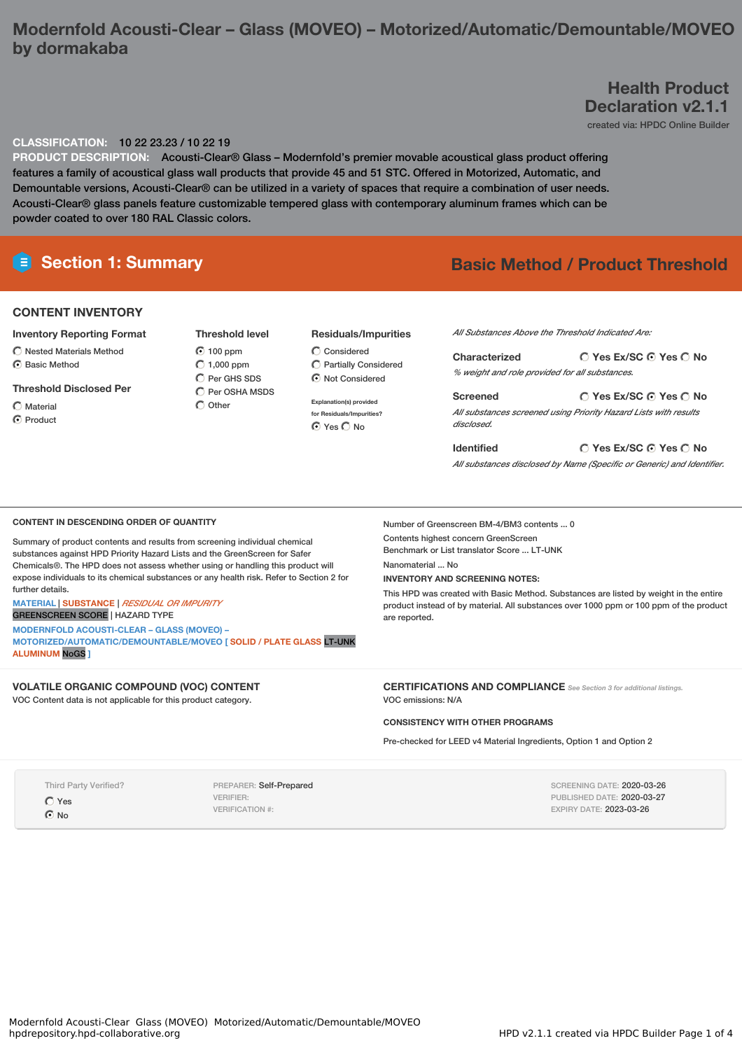# **Modernfold Acousti-Clear – Glass (MOVEO) – Motorized/Automatic/Demountable/MOVEO by dormakaba**

# **Health Product Declaration v2.1.1**

created via: HPDC Online Builder

### **CLASSIFICATION:** 10 22 23.23 / 10 22 19

**PRODUCT DESCRIPTION:** Acousti-Clear® Glass – Modernfold's premier movable acoustical glass product offering features a family of acoustical glass wall products that provide 45 and 51 STC. Offered in Motorized, Automatic, and Demountable versions, Acousti-Clear® can be utilized in a variety of spaces that require a combination of user needs. Acousti-Clear® glass panels feature customizable tempered glass with contemporary aluminum frames which can be powder coated to over 180 RAL Classic colors.

# **E** Section 1: Summary **Basic Method** / Product Threshold

## **CONTENT INVENTORY**

#### **Inventory Reporting Format**

Nested Materials Method  $\odot$  Basic Method

### **Threshold Disclosed Per**

- $\bigcirc$  Material
- C Product

C Per GHS SDS C Per OSHA MSDS  $\bigcap$  Other

### **Residuals/Impurities**

Considered Partially Considered  $\bigcirc$  Not Considered

**Explanation(s) provided for Residuals/Impurities?**  $O$  Yes  $O$  No

#### *All Substances Above the Threshold Indicated Are:*

**Yes Ex/SC Yes No Characterized** *% weight and role provided for all substances.*

**Yes Ex/SC Yes No Screened** *All substances screened using Priority Hazard Lists with results disclosed.*

**Yes Ex/SC Yes No Identified** *All substances disclosed by Name (Specific or Generic) and Identifier.*

#### **CONTENT IN DESCENDING ORDER OF QUANTITY**

Summary of product contents and results from screening individual chemical substances against HPD Priority Hazard Lists and the GreenScreen for Safer Chemicals®. The HPD does not assess whether using or handling this product will expose individuals to its chemical substances or any health risk. Refer to Section 2 for further details.

**MATERIAL** | **SUBSTANCE** | *RESIDUAL OR IMPURITY*

### GREENSCREEN SCORE | HAZARD TYPE

**MODERNFOLD ACOUSTI-CLEAR – GLASS (MOVEO) – MOTORIZED/AUTOMATIC/DEMOUNTABLE/MOVEO [ SOLID / PLATE GLASS** LT-UNK **ALUMINUM** NoGS **]**

# **VOLATILE ORGANIC COMPOUND (VOC) CONTENT**

VOC Content data is not applicable for this product category.

# Number of Greenscreen BM-4/BM3 contents ... 0

Contents highest concern GreenScreen Benchmark or List translator Score ... LT-UNK

Nanomaterial ... No

## **INVENTORY AND SCREENING NOTES:**

This HPD was created with Basic Method. Substances are listed by weight in the entire product instead of by material. All substances over 1000 ppm or 100 ppm of the product are reported.

**CERTIFICATIONS AND COMPLIANCE** *See Section <sup>3</sup> for additional listings.* VOC emissions: N/A

## **CONSISTENCY WITH OTHER PROGRAMS**

Pre-checked for LEED v4 Material Ingredients, Option 1 and Option 2

Third Party Verified?

 $\bigcap$  Yes  $\odot$  No

PREPARER: Self-Prepared VERIFIER: VERIFICATION #:

SCREENING DATE: 2020-03-26 PUBLISHED DATE: 2020-03-27 EXPIRY DATE: 2023-03-26

**Threshold level**  $\bigcirc$  100 ppm  $C$  1,000 ppm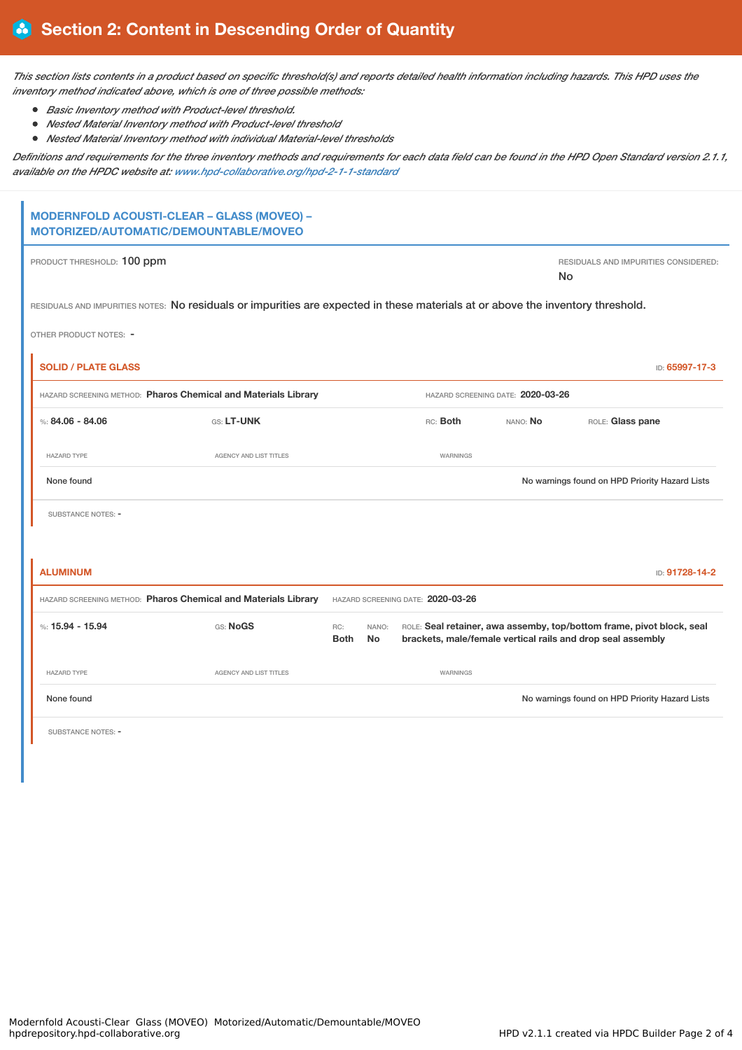This section lists contents in a product based on specific threshold(s) and reports detailed health information including hazards. This HPD uses the *inventory method indicated above, which is one of three possible methods:*

- *Basic Inventory method with Product-level threshold.*
- *Nested Material Inventory method with Product-level threshold*
- $\bullet$ *Nested Material Inventory method with individual Material-level thresholds*

Definitions and requirements for the three inventory methods and requirements for each data field can be found in the HPD Open Standard version 2.1.1, *available on the HPDC website at: [www.hpd-collaborative.org/hpd-2-1-1-standard](https://www.hpd-collaborative.org/hpd-2-1-1-standard)*

# **MODERNFOLD ACOUSTI-CLEAR – GLASS (MOVEO) – MOTORIZED/AUTOMATIC/DEMOUNTABLE/MOVEO** PRODUCT THRESHOLD: 100 ppm **PRODUCT THRESHOLD: 100 ppm** RESIDUALS AND IMPURITIES CONSIDERED: No RESIDUALS AND IMPURITIES NOTES: No residuals or impurities are expected in these materials at or above the inventory threshold. OTHER PRODUCT NOTES: - **SOLID / PLATE GLASS** ID: **65997-17-3** HAZARD SCREENING METHOD: **Pharos Chemical and Materials Library** HAZARD SCREENING DATE: **2020-03-26** %: **84.06 - 84.06** GS: **LT-UNK** RC: **Both** NANO: **No** ROLE: **Glass pane** HAZARD TYPE **AGENCY AND LIST TITLES AGENCY AND LIST TITLES** None found **Now all a struck of the Controller Controller Controller Controller Controller Controller Controller Controller Controller Controller Controller Controller Controller Controller Controller Controller Controller**

SUBSTANCE NOTES: -

| <b>ALUMINUM</b><br>ID: 91728-14-2                              |                    |                                   |                    |                    |                                                                                                                                      |  |
|----------------------------------------------------------------|--------------------|-----------------------------------|--------------------|--------------------|--------------------------------------------------------------------------------------------------------------------------------------|--|
| HAZARD SCREENING METHOD: Pharos Chemical and Materials Library |                    | HAZARD SCREENING DATE: 2020-03-26 |                    |                    |                                                                                                                                      |  |
|                                                                | %: $15.94 - 15.94$ | GS: NoGS                          | RC:<br><b>Both</b> | NANO:<br><b>No</b> | ROLE: Seal retainer, awa assemby, top/bottom frame, pivot block, seal<br>brackets, male/female vertical rails and drop seal assembly |  |
|                                                                | <b>HAZARD TYPE</b> | <b>AGENCY AND LIST TITLES</b>     |                    |                    | WARNINGS                                                                                                                             |  |
|                                                                | None found         |                                   |                    |                    | No warnings found on HPD Priority Hazard Lists                                                                                       |  |

SUBSTANCE NOTES: -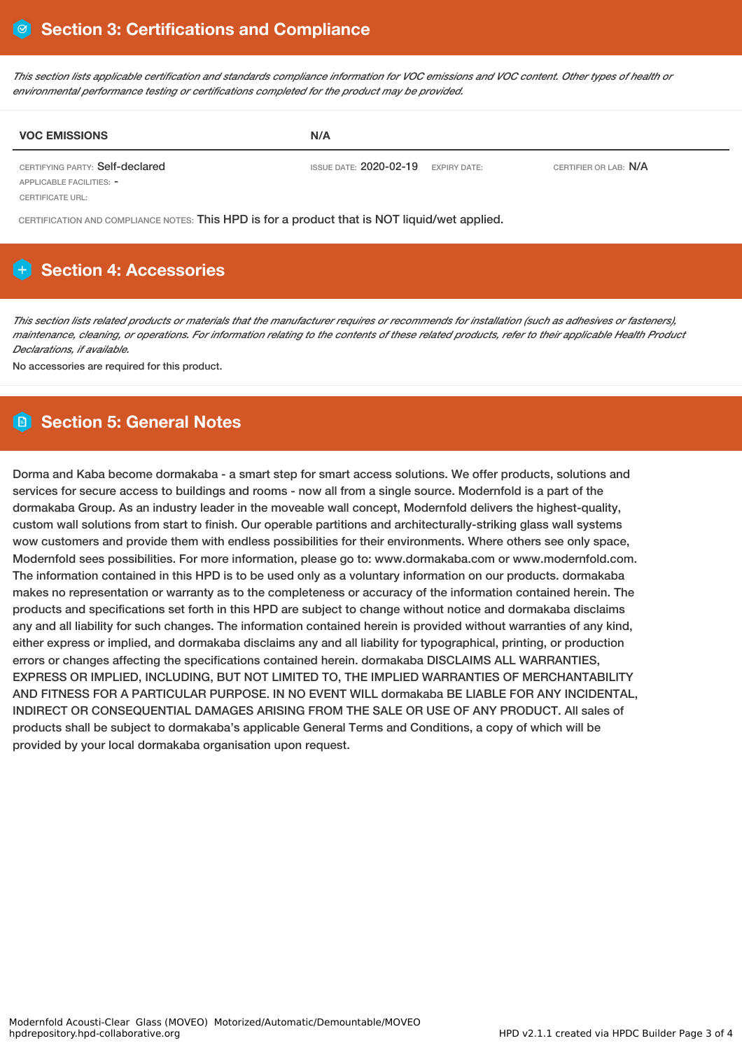This section lists applicable certification and standards compliance information for VOC emissions and VOC content. Other types of health or *environmental performance testing or certifications completed for the product may be provided.*

| <b>VOC EMISSIONS</b>            | N/A                                   |                       |
|---------------------------------|---------------------------------------|-----------------------|
| CERTIFYING PARTY: Self-declared | ISSUE DATE: $2020-02-19$ expiry date: | CERTIFIER OR LAB: N/A |

APPLICABLE FACILITIES: - CERTIFICATE URL:

CERTIFICATION AND COMPLIANCE NOTES: This HPD is for a product that is NOT liquid/wet applied.

# **Section 4: Accessories**

This section lists related products or materials that the manufacturer requires or recommends for installation (such as adhesives or fasteners), maintenance, cleaning, or operations. For information relating to the contents of these related products, refer to their applicable Health Product *Declarations, if available.*

No accessories are required for this product.

# **Section 5: General Notes**

Dorma and Kaba become dormakaba - a smart step for smart access solutions. We offer products, solutions and services for secure access to buildings and rooms - now all from a single source. Modernfold is a part of the dormakaba Group. As an industry leader in the moveable wall concept, Modernfold delivers the highest-quality, custom wall solutions from start to finish. Our operable partitions and architecturally-striking glass wall systems wow customers and provide them with endless possibilities for their environments. Where others see only space, Modernfold sees possibilities. For more information, please go to: www.dormakaba.com or www.modernfold.com. The information contained in this HPD is to be used only as a voluntary information on our products. dormakaba makes no representation or warranty as to the completeness or accuracy of the information contained herein. The products and specifications set forth in this HPD are subject to change without notice and dormakaba disclaims any and all liability for such changes. The information contained herein is provided without warranties of any kind, either express or implied, and dormakaba disclaims any and all liability for typographical, printing, or production errors or changes affecting the specifications contained herein. dormakaba DISCLAIMS ALL WARRANTIES, EXPRESS OR IMPLIED, INCLUDING, BUT NOT LIMITED TO, THE IMPLIED WARRANTIES OF MERCHANTABILITY AND FITNESS FOR A PARTICULAR PURPOSE. IN NO EVENT WILL dormakaba BE LIABLE FOR ANY INCIDENTAL, INDIRECT OR CONSEQUENTIAL DAMAGES ARISING FROM THE SALE OR USE OF ANY PRODUCT. All sales of products shall be subject to dormakaba's applicable General Terms and Conditions, a copy of which will be provided by your local dormakaba organisation upon request.